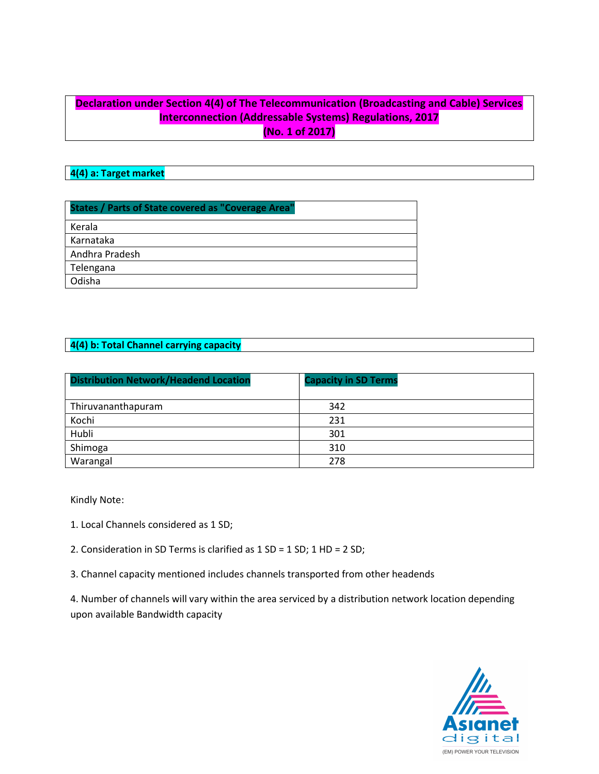## Declaration under Section 4(4) of The Telecommunication (Broadcasting and Cable) Services Interconnection (Addressable Systems) Regulations, 2017 (No. 1 of 2017)

### 4(4) a: Target market

| <b>States / Parts of State covered as "Coverage Area"</b> |
|-----------------------------------------------------------|
| Kerala                                                    |
| Karnataka                                                 |
| Andhra Pradesh                                            |
| Telengana                                                 |
| Odisha                                                    |

#### 4(4) b: Total Channel carrying capacity

| <b>Distribution Network/Headend Location</b> | <b>Capacity in SD Terms</b> |
|----------------------------------------------|-----------------------------|
| Thiruvananthapuram                           | 342                         |
| Kochi                                        | 231                         |
| Hubli                                        | 301                         |
| Shimoga                                      | 310                         |
| Warangal                                     | 278                         |

Kindly Note:

1. Local Channels considered as 1 SD;

2. Consideration in SD Terms is clarified as 1 SD = 1 SD; 1 HD = 2 SD;

3. Channel capacity mentioned includes channels transported from other headends

4. Number of channels will vary within the area serviced by a distribution network location depending upon available Bandwidth capacity

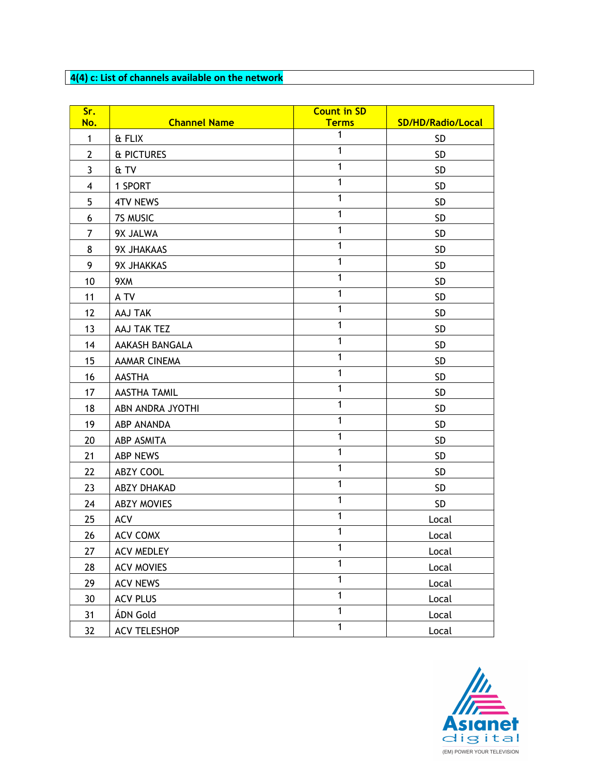# 4(4) c: List of channels available on the network

| Sr.                     |                     | <b>Count in SD</b> |                   |
|-------------------------|---------------------|--------------------|-------------------|
| No.                     | <b>Channel Name</b> | <b>Terms</b>       | SD/HD/Radio/Local |
| $\mathbf{1}$            | & FLIX              | $\mathbf{1}$       | <b>SD</b>         |
| $\overline{2}$          | & PICTURES          | $\mathbf{1}$       | <b>SD</b>         |
| $\mathbf{3}$            | & TV                | $\mathbf{1}$       | <b>SD</b>         |
| $\overline{\mathbf{4}}$ | 1 SPORT             | 1                  | <b>SD</b>         |
| 5                       | <b>4TV NEWS</b>     | $\mathbf{1}$       | <b>SD</b>         |
| 6                       | 7S MUSIC            | $\mathbf{1}$       | <b>SD</b>         |
| 7                       | 9X JALWA            | $\overline{1}$     | <b>SD</b>         |
| 8                       | 9X JHAKAAS          | $\mathbf{1}$       | <b>SD</b>         |
| 9                       | 9X JHAKKAS          | $\mathbf{1}$       | SD                |
| 10                      | 9XM                 | $\mathbf{1}$       | <b>SD</b>         |
| 11                      | A TV                | $\mathbf{1}$       | <b>SD</b>         |
| 12                      | AAJ TAK             | $\mathbf{1}$       | SD                |
| 13                      | AAJ TAK TEZ         | $\mathbf{1}$       | <b>SD</b>         |
| 14                      | AAKASH BANGALA      | $\mathbf{1}$       | <b>SD</b>         |
| 15                      | <b>AAMAR CINEMA</b> | $\mathbf{1}$       | <b>SD</b>         |
| 16                      | <b>AASTHA</b>       | $\mathbf{1}$       | <b>SD</b>         |
| 17                      | <b>AASTHA TAMIL</b> | $\mathbf{1}$       | <b>SD</b>         |
| 18                      | ABN ANDRA JYOTHI    | $\mathbf{1}$       | SD                |
| 19                      | ABP ANANDA          | $\mathbf{1}$       | <b>SD</b>         |
| 20                      | ABP ASMITA          | $\mathbf{1}$       | <b>SD</b>         |
| 21                      | <b>ABP NEWS</b>     | $\mathbf{1}$       | <b>SD</b>         |
| 22                      | ABZY COOL           | $\mathbf{1}$       | <b>SD</b>         |
| 23                      | <b>ABZY DHAKAD</b>  | $\mathbf{1}$       | <b>SD</b>         |
| 24                      | <b>ABZY MOVIES</b>  | $\mathbf{1}$       | SD                |
| 25                      | <b>ACV</b>          | $\mathbf{1}$       | Local             |
| 26                      | <b>ACV COMX</b>     | $\mathbf{1}$       | Local             |
| 27                      | <b>ACV MEDLEY</b>   | $\mathbf{1}$       | Local             |
| 28                      | <b>ACV MOVIES</b>   | $\mathbf{1}$       | Local             |
| 29                      | <b>ACV NEWS</b>     | $\mathbf{1}$       | Local             |
| 30                      | <b>ACV PLUS</b>     | $\mathbf{1}$       | Local             |
| 31                      | ÁDN Gold            | $\overline{1}$     | Local             |
| 32                      | <b>ACV TELESHOP</b> | $\mathbf{1}$       | Local             |

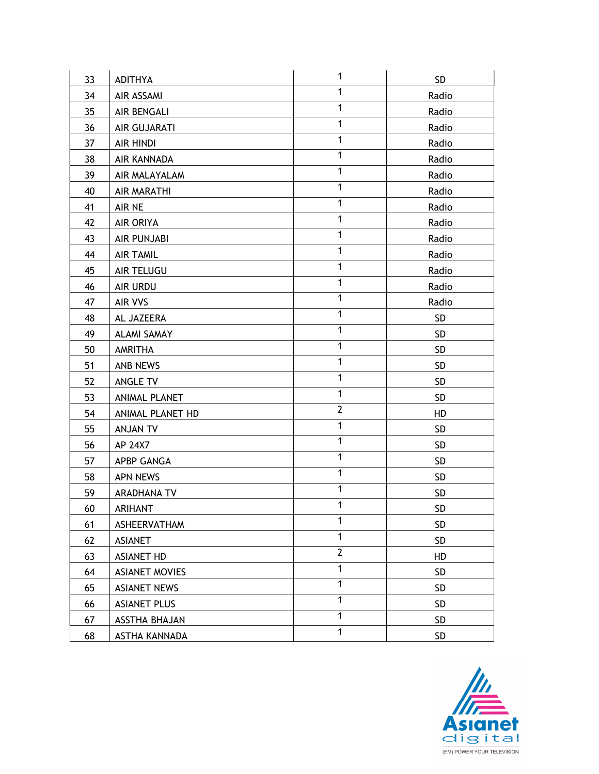| 33 | <b>ADITHYA</b>        | $\mathbf{1}$   | SD              |
|----|-----------------------|----------------|-----------------|
| 34 | AIR ASSAMI            | $\mathbf{1}$   | Radio           |
| 35 | AIR BENGALI           | $\mathbf{1}$   | Radio           |
| 36 | AIR GUJARATI          | $\mathbf{1}$   | Radio           |
| 37 | <b>AIR HINDI</b>      | $\mathbf{1}$   | Radio           |
| 38 | AIR KANNADA           | $\mathbf{1}$   | Radio           |
| 39 | AIR MALAYALAM         | $\mathbf{1}$   | Radio           |
| 40 | <b>AIR MARATHI</b>    | $\mathbf{1}$   | Radio           |
| 41 | AIR NE                | $\mathbf{1}$   | Radio           |
| 42 | <b>AIR ORIYA</b>      | $\mathbf{1}$   | Radio           |
| 43 | AIR PUNJABI           | $\mathbf{1}$   | Radio           |
| 44 | <b>AIR TAMIL</b>      | $\overline{1}$ | Radio           |
| 45 | AIR TELUGU            | $\mathbf{1}$   | Radio           |
| 46 | AIR URDU              | $\mathbf{1}$   | Radio           |
| 47 | AIR VVS               | $\mathbf{1}$   | Radio           |
| 48 | AL JAZEERA            | $\mathbf{1}$   | SD              |
| 49 | <b>ALAMI SAMAY</b>    | $\mathbf{1}$   | SD              |
| 50 | AMRITHA               | $\mathbf{1}$   | SD              |
| 51 | ANB NEWS              | $\mathbf{1}$   | <b>SD</b>       |
| 52 | ANGLE TV              | $\mathbf{1}$   | SD              |
| 53 | ANIMAL PLANET         | $\mathbf{1}$   | <b>SD</b>       |
| 54 | ANIMAL PLANET HD      | $\mathbf{2}$   | HD              |
| 55 | <b>ANJAN TV</b>       | $\mathbf{1}$   | <b>SD</b>       |
| 56 | AP 24X7               | $\mathbf{1}$   | SD              |
| 57 | APBP GANGA            | $\mathbf{1}$   | <b>SD</b>       |
| 58 | <b>APN NEWS</b>       | $\mathbf{1}$   | <b>SD</b>       |
| 59 | <b>ARADHANA TV</b>    | $\mathbf{1}$   | SD              |
| 60 | ARIHANT               | 1              | SD              |
| 61 | ASHEERVATHAM          | 1              | SD <sub>.</sub> |
| 62 | <b>ASIANET</b>        | $\mathbf{1}$   | <b>SD</b>       |
| 63 | <b>ASIANET HD</b>     | $\mathbf{2}$   | HD              |
| 64 | <b>ASIANET MOVIES</b> | $\mathbf{1}$   | <b>SD</b>       |
| 65 | <b>ASIANET NEWS</b>   | $\mathbf{1}$   | SD              |
| 66 | <b>ASIANET PLUS</b>   | $\mathbf{1}$   | SD              |
| 67 | ASSTHA BHAJAN         | $\mathbf{1}$   | <b>SD</b>       |
| 68 | ASTHA KANNADA         | $\mathbf{1}$   | <b>SD</b>       |

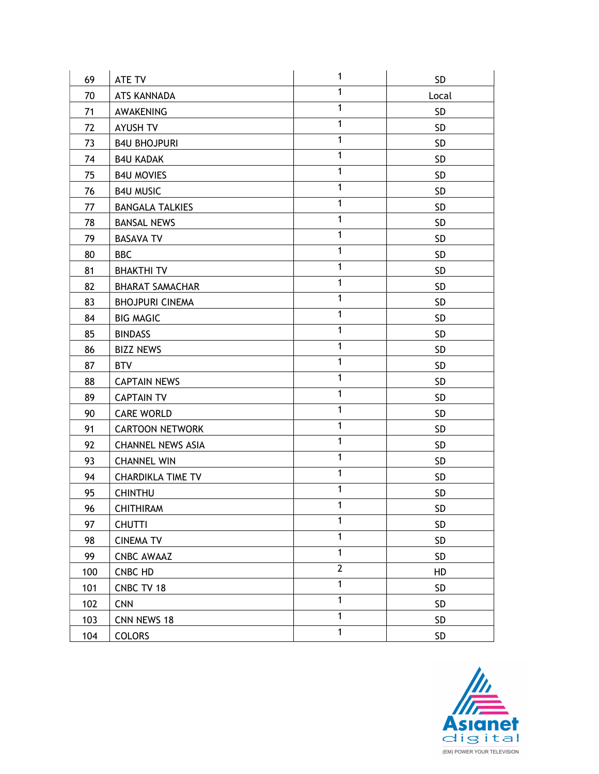| 69  | ATE TV                   | 1              | SD        |
|-----|--------------------------|----------------|-----------|
| 70  | ATS KANNADA              | 1              | Local     |
| 71  | AWAKENING                | $\mathbf{1}$   | <b>SD</b> |
| 72  | AYUSH TV                 | $\mathbf{1}$   | <b>SD</b> |
| 73  | <b>B4U BHOJPURI</b>      | $\mathbf{1}$   | <b>SD</b> |
| 74  | <b>B4U KADAK</b>         | $\mathbf{1}$   | SD        |
| 75  | <b>B4U MOVIES</b>        | $\mathbf{1}$   | <b>SD</b> |
| 76  | <b>B4U MUSIC</b>         | $\mathbf{1}$   | SD        |
| 77  | <b>BANGALA TALKIES</b>   | $\mathbf{1}$   | <b>SD</b> |
| 78  | <b>BANSAL NEWS</b>       | $\mathbf{1}$   | <b>SD</b> |
| 79  | <b>BASAVA TV</b>         | $\mathbf{1}$   | <b>SD</b> |
| 80  | <b>BBC</b>               | $\mathbf{1}$   | <b>SD</b> |
| 81  | <b>BHAKTHI TV</b>        | $\mathbf{1}$   | SD        |
| 82  | <b>BHARAT SAMACHAR</b>   | $\mathbf{1}$   | SD        |
| 83  | <b>BHOJPURI CINEMA</b>   | $\mathbf{1}$   | SD        |
| 84  | <b>BIG MAGIC</b>         | $\mathbf{1}$   | SD        |
| 85  | <b>BINDASS</b>           | $\mathbf{1}$   | <b>SD</b> |
| 86  | <b>BIZZ NEWS</b>         | $\mathbf{1}$   | SD        |
| 87  | <b>BTV</b>               | $\mathbf{1}$   | SD        |
| 88  | <b>CAPTAIN NEWS</b>      | $\mathbf{1}$   | <b>SD</b> |
| 89  | <b>CAPTAIN TV</b>        | $\mathbf{1}$   | <b>SD</b> |
| 90  | <b>CARE WORLD</b>        | $\mathbf{1}$   | SD        |
| 91  | <b>CARTOON NETWORK</b>   | $\mathbf{1}$   | <b>SD</b> |
| 92  | <b>CHANNEL NEWS ASIA</b> | $\mathbf{1}$   | <b>SD</b> |
| 93  | <b>CHANNEL WIN</b>       | $\mathbf{1}$   | SD        |
| 94  | <b>CHARDIKLA TIME TV</b> | $\mathbf{1}$   | <b>SD</b> |
| 95  | <b>CHINTHU</b>           | $\mathbf{1}$   | <b>SD</b> |
| 96  | <b>CHITHIRAM</b>         | 1              | SD        |
| 97  | <b>CHUTTI</b>            | $\mathbf{1}$   | SD        |
| 98  | <b>CINEMA TV</b>         | $\mathbf{1}$   | SD        |
| 99  | <b>CNBC AWAAZ</b>        | $\mathbf{1}$   | SD        |
| 100 | CNBC HD                  | $\overline{2}$ | HD        |
| 101 | CNBC TV 18               | $\mathbf{1}$   | SD        |
| 102 | <b>CNN</b>               | $\mathbf{1}$   | SD        |
| 103 | CNN NEWS 18              | $\mathbf{1}$   | SD        |
| 104 | <b>COLORS</b>            | $\mathbf{1}$   | SD        |

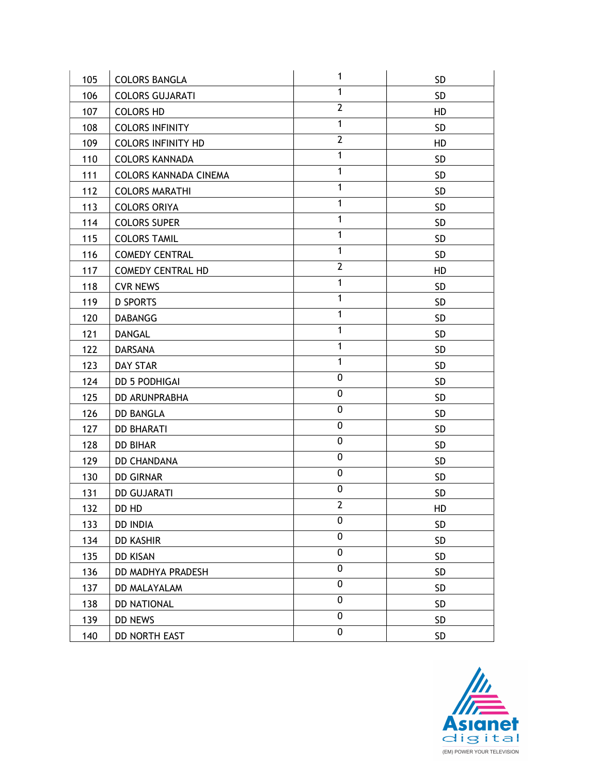| 105 | <b>COLORS BANGLA</b>         | 1                       | <b>SD</b> |
|-----|------------------------------|-------------------------|-----------|
| 106 | <b>COLORS GUJARATI</b>       | 1                       | <b>SD</b> |
| 107 | <b>COLORS HD</b>             | $\overline{2}$          | HD        |
| 108 | <b>COLORS INFINITY</b>       | $\mathbf{1}$            | <b>SD</b> |
| 109 | <b>COLORS INFINITY HD</b>    | $\overline{2}$          | HD        |
| 110 | <b>COLORS KANNADA</b>        | 1                       | SD        |
| 111 | <b>COLORS KANNADA CINEMA</b> | $\mathbf{1}$            | <b>SD</b> |
| 112 | <b>COLORS MARATHI</b>        | $\mathbf{1}$            | <b>SD</b> |
| 113 | <b>COLORS ORIYA</b>          | 1                       | <b>SD</b> |
| 114 | <b>COLORS SUPER</b>          | $\mathbf{1}$            | <b>SD</b> |
| 115 | <b>COLORS TAMIL</b>          | $\mathbf{1}$            | <b>SD</b> |
| 116 | <b>COMEDY CENTRAL</b>        | $\mathbf{1}$            | <b>SD</b> |
| 117 | <b>COMEDY CENTRAL HD</b>     | $\overline{2}$          | HD        |
| 118 | <b>CVR NEWS</b>              | $\mathbf{1}$            | <b>SD</b> |
| 119 | <b>D SPORTS</b>              | 1                       | <b>SD</b> |
| 120 | <b>DABANGG</b>               | $\mathbf{1}$            | <b>SD</b> |
| 121 | <b>DANGAL</b>                | $\mathbf{1}$            | <b>SD</b> |
| 122 | DARSANA                      | $\mathbf{1}$            | <b>SD</b> |
| 123 | <b>DAY STAR</b>              | $\mathbf{1}$            | <b>SD</b> |
| 124 | <b>DD 5 PODHIGAI</b>         | 0                       | <b>SD</b> |
| 125 | DD ARUNPRABHA                | 0                       | <b>SD</b> |
| 126 | <b>DD BANGLA</b>             | 0                       | <b>SD</b> |
| 127 | <b>DD BHARATI</b>            | 0                       | <b>SD</b> |
| 128 | <b>DD BIHAR</b>              | 0                       | <b>SD</b> |
| 129 | <b>DD CHANDANA</b>           | 0                       | <b>SD</b> |
| 130 | <b>DD GIRNAR</b>             | 0                       | <b>SD</b> |
| 131 | <b>DD GUJARATI</b>           | 0                       | <b>SD</b> |
| 132 | DD HD                        | $\overline{\mathbf{c}}$ | HD        |
| 133 | <b>DD INDIA</b>              | 0                       | <b>SD</b> |
| 134 | <b>DD KASHIR</b>             | 0                       | <b>SD</b> |
| 135 | <b>DD KISAN</b>              | 0                       | <b>SD</b> |
| 136 | DD MADHYA PRADESH            | 0                       | <b>SD</b> |
| 137 | DD MALAYALAM                 | 0                       | <b>SD</b> |
| 138 | <b>DD NATIONAL</b>           | 0                       | <b>SD</b> |
| 139 | DD NEWS                      | 0                       | SD        |
| 140 | DD NORTH EAST                | 0                       | <b>SD</b> |

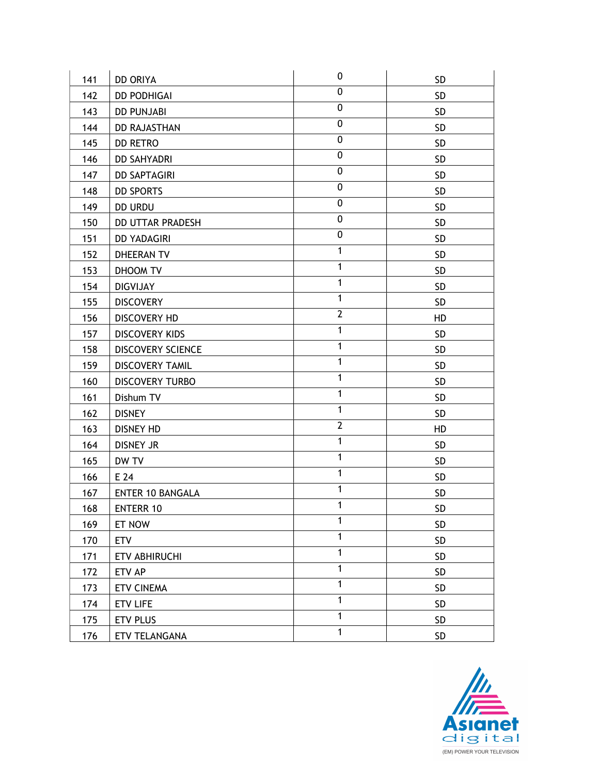| 141 | <b>DD ORIYA</b>          | 0              | <b>SD</b>  |
|-----|--------------------------|----------------|------------|
| 142 | <b>DD PODHIGAI</b>       | 0              | <b>SD</b>  |
| 143 | <b>DD PUNJABI</b>        | 0              | <b>SD</b>  |
| 144 | <b>DD RAJASTHAN</b>      | 0              | <b>SD</b>  |
| 145 | <b>DD RETRO</b>          | 0              | <b>SD</b>  |
| 146 | <b>DD SAHYADRI</b>       | 0              | <b>SD</b>  |
| 147 | <b>DD SAPTAGIRI</b>      | 0              | <b>SD</b>  |
| 148 | <b>DD SPORTS</b>         | 0              | SD         |
| 149 | <b>DD URDU</b>           | 0              | <b>SD</b>  |
| 150 | <b>DD UTTAR PRADESH</b>  | 0              | <b>SD</b>  |
| 151 | <b>DD YADAGIRI</b>       | $\overline{0}$ | <b>SD</b>  |
| 152 | DHEERAN TV               | $\mathbf{1}$   | <b>SD</b>  |
| 153 | DHOOM TV                 | $\mathbf{1}$   | <b>SD</b>  |
| 154 | <b>DIGVIJAY</b>          | $\mathbf{1}$   | SD         |
| 155 | <b>DISCOVERY</b>         | $\mathbf{1}$   | <b>SD</b>  |
| 156 | <b>DISCOVERY HD</b>      | $\overline{2}$ | HD         |
| 157 | <b>DISCOVERY KIDS</b>    | 1              | <b>SD</b>  |
| 158 | <b>DISCOVERY SCIENCE</b> | 1              | <b>SD</b>  |
| 159 | <b>DISCOVERY TAMIL</b>   | $\mathbf{1}$   | <b>SD</b>  |
| 160 | <b>DISCOVERY TURBO</b>   | $\overline{1}$ | <b>SD</b>  |
| 161 | Dishum TV                | $\mathbf{1}$   | <b>SD</b>  |
| 162 | <b>DISNEY</b>            | $\mathbf{1}$   | <b>SD</b>  |
| 163 | <b>DISNEY HD</b>         | $\overline{2}$ | HD         |
| 164 | <b>DISNEY JR</b>         | $\mathbf{1}$   | <b>SD</b>  |
| 165 | DW TV                    | $\mathbf{1}$   | <b>SD</b>  |
| 166 | E 24                     | $\mathbf{1}$   | <b>SD</b>  |
| 167 | <b>ENTER 10 BANGALA</b>  | $\mathbf{1}$   | <b>SD</b>  |
| 168 | <b>ENTERR 10</b>         | 1              | ${\sf SD}$ |
| 169 | ET NOW                   | 1              | <b>SD</b>  |
| 170 | <b>ETV</b>               | 1              | SD         |
| 171 | ETV ABHIRUCHI            | $\mathbf{1}$   | SD         |
| 172 | ETV AP                   | 1              | SD         |
| 173 | <b>ETV CINEMA</b>        | $\mathbf{1}$   | <b>SD</b>  |
| 174 | <b>ETV LIFE</b>          | $\mathbf{1}$   | <b>SD</b>  |
| 175 | ETV PLUS                 | 1              | SD         |
| 176 | ETV TELANGANA            | $\mathbf{1}$   | <b>SD</b>  |

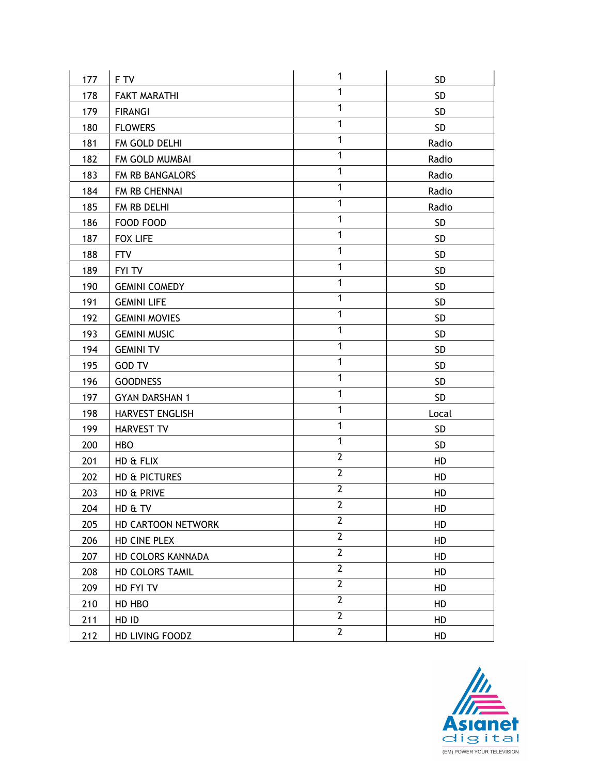| 177 | F TV                  | $\mathbf{1}$   | <b>SD</b> |
|-----|-----------------------|----------------|-----------|
| 178 | <b>FAKT MARATHI</b>   | $\mathbf{1}$   | <b>SD</b> |
| 179 | <b>FIRANGI</b>        | $\mathbf{1}$   | <b>SD</b> |
| 180 | <b>FLOWERS</b>        | $\mathbf{1}$   | <b>SD</b> |
| 181 | FM GOLD DELHI         | $\mathbf{1}$   | Radio     |
| 182 | FM GOLD MUMBAI        | $\mathbf{1}$   | Radio     |
| 183 | FM RB BANGALORS       | $\mathbf{1}$   | Radio     |
| 184 | FM RB CHENNAI         | $\mathbf{1}$   | Radio     |
| 185 | FM RB DELHI           | $\mathbf{1}$   | Radio     |
| 186 | FOOD FOOD             | $\mathbf{1}$   | <b>SD</b> |
| 187 | <b>FOX LIFE</b>       | $\mathbf{1}$   | <b>SD</b> |
| 188 | <b>FTV</b>            | $\mathbf{1}$   | <b>SD</b> |
| 189 | <b>FYI TV</b>         | $\mathbf{1}$   | <b>SD</b> |
| 190 | <b>GEMINI COMEDY</b>  | $\mathbf{1}$   | <b>SD</b> |
| 191 | <b>GEMINI LIFE</b>    | $\mathbf{1}$   | <b>SD</b> |
| 192 | <b>GEMINI MOVIES</b>  | $\mathbf{1}$   | <b>SD</b> |
| 193 | <b>GEMINI MUSIC</b>   | $\mathbf{1}$   | <b>SD</b> |
| 194 | <b>GEMINI TV</b>      | 1              | SD        |
| 195 | <b>GOD TV</b>         | $\mathbf{1}$   | <b>SD</b> |
| 196 | <b>GOODNESS</b>       | $\overline{1}$ | <b>SD</b> |
| 197 | <b>GYAN DARSHAN 1</b> | $\mathbf{1}$   | <b>SD</b> |
| 198 | HARVEST ENGLISH       | $\mathbf{1}$   | Local     |
| 199 | <b>HARVEST TV</b>     | $\mathbf{1}$   | <b>SD</b> |
| 200 | <b>HBO</b>            | $\mathbf{1}$   | SD        |
| 201 | HD & FLIX             | $\overline{2}$ | HD        |
| 202 | HD & PICTURES         | $\overline{2}$ | HD        |
| 203 | HD & PRIVE            | $\overline{2}$ | HD        |
| 204 | HD & TV               | $\mathbf 2$    | HD        |
| 205 | HD CARTOON NETWORK    | $\overline{2}$ | HD        |
| 206 | HD CINE PLEX          | $\overline{2}$ | HD        |
| 207 | HD COLORS KANNADA     | $\overline{2}$ | HD        |
| 208 | HD COLORS TAMIL       | $\overline{2}$ | HD        |
| 209 | HD FYI TV             | $\overline{2}$ | HD        |
| 210 | HD HBO                | $\overline{2}$ | HD        |
| 211 | HD ID                 | $\overline{2}$ | HD        |
| 212 | HD LIVING FOODZ       | $\mathbf{2}$   | HD        |

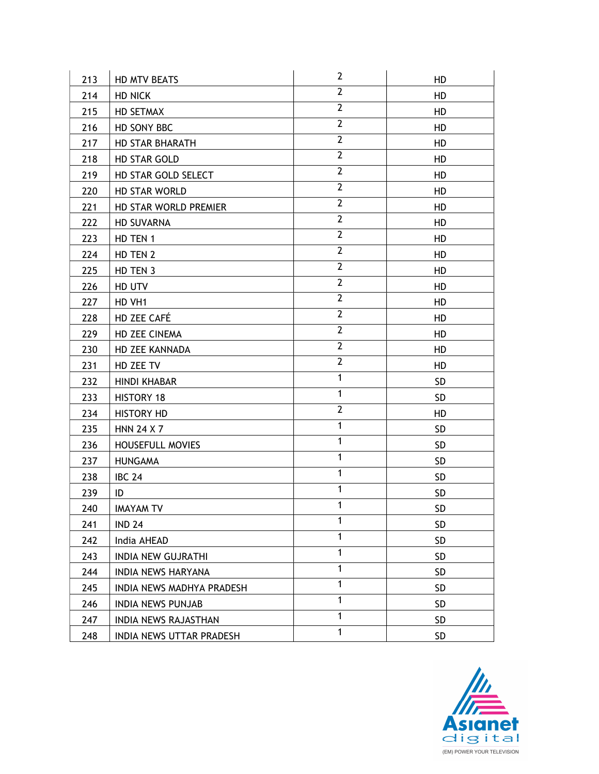| 213 | HD MTV BEATS              | $\mathbf{2}$   | HD        |
|-----|---------------------------|----------------|-----------|
| 214 | <b>HD NICK</b>            | $\overline{2}$ | HD        |
| 215 | HD SETMAX                 | $\overline{2}$ | HD        |
| 216 | HD SONY BBC               | $\mathbf{2}$   | HD        |
| 217 | <b>HD STAR BHARATH</b>    | $\mathbf{2}$   | HD        |
| 218 | HD STAR GOLD              | $\overline{2}$ | HD        |
| 219 | HD STAR GOLD SELECT       | $\overline{2}$ | HD        |
| 220 | HD STAR WORLD             | $\overline{2}$ | HD        |
| 221 | HD STAR WORLD PREMIER     | $\overline{2}$ | HD        |
| 222 | <b>HD SUVARNA</b>         | $\mathbf{2}$   | HD        |
| 223 | HD TEN 1                  | $\overline{2}$ | HD        |
| 224 | HD TEN 2                  | $\overline{2}$ | HD        |
| 225 | HD TEN 3                  | $\overline{2}$ | HD        |
| 226 | HD UTV                    | $\overline{2}$ | HD        |
| 227 | HD VH1                    | $\overline{2}$ | HD        |
| 228 | HD ZEE CAFÉ               | $\overline{2}$ | HD        |
| 229 | HD ZEE CINEMA             | $\mathbf{2}$   | HD        |
| 230 | HD ZEE KANNADA            | $\overline{2}$ | HD        |
| 231 | HD ZEE TV                 | $\mathbf{2}$   | HD        |
| 232 | <b>HINDI KHABAR</b>       | $\mathbf{1}$   | <b>SD</b> |
| 233 | HISTORY 18                | $\mathbf{1}$   | <b>SD</b> |
| 234 | <b>HISTORY HD</b>         | $\mathbf{2}$   | HD        |
| 235 | <b>HNN 24 X 7</b>         | $\mathbf{1}$   | <b>SD</b> |
| 236 | <b>HOUSEFULL MOVIES</b>   | $\mathbf{1}$   | <b>SD</b> |
| 237 | <b>HUNGAMA</b>            | $\mathbf{1}$   | SD        |
| 238 | <b>IBC 24</b>             | $\mathbf{1}$   | <b>SD</b> |
| 239 | ID                        | $\mathbf{1}$   | <b>SD</b> |
| 240 | <b>IMAYAM TV</b>          | 1              | SD        |
| 241 | <b>IND 24</b>             | $\mathbf{1}$   | <b>SD</b> |
| 242 | India AHEAD               | $\mathbf{1}$   | <b>SD</b> |
| 243 | <b>INDIA NEW GUJRATHI</b> | $\mathbf{1}$   | <b>SD</b> |
| 244 | <b>INDIA NEWS HARYANA</b> | $\mathbf{1}$   | <b>SD</b> |
| 245 | INDIA NEWS MADHYA PRADESH | $\mathbf{1}$   | SD.       |
| 246 | <b>INDIA NEWS PUNJAB</b>  | $\mathbf{1}$   | <b>SD</b> |
| 247 | INDIA NEWS RAJASTHAN      | $\mathbf{1}$   | <b>SD</b> |
| 248 | INDIA NEWS UTTAR PRADESH  | $\mathbf{1}$   | <b>SD</b> |

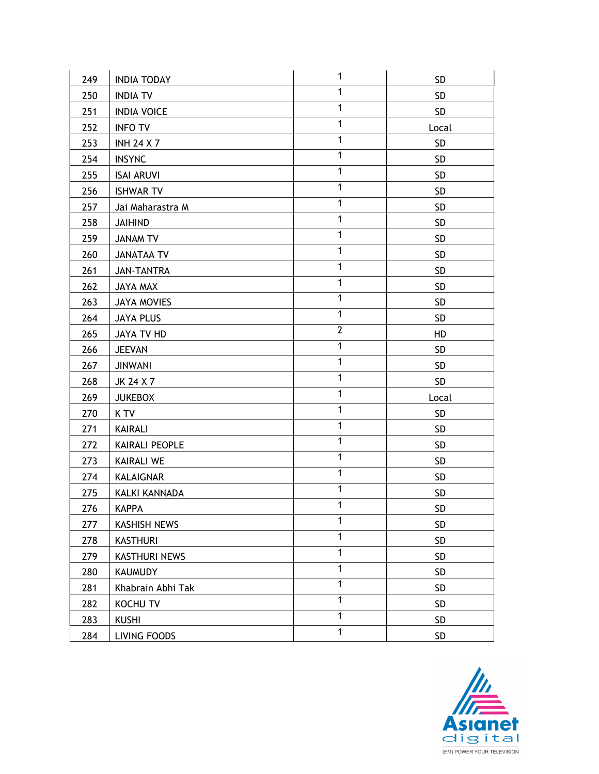|     |                      | $\mathbf{1}$ |            |
|-----|----------------------|--------------|------------|
| 249 | <b>INDIA TODAY</b>   |              | <b>SD</b>  |
| 250 | <b>INDIA TV</b>      | 1            | <b>SD</b>  |
| 251 | <b>INDIA VOICE</b>   | $\mathbf{1}$ | <b>SD</b>  |
| 252 | <b>INFO TV</b>       | 1            | Local      |
| 253 | <b>INH 24 X 7</b>    | $\mathbf{1}$ | <b>SD</b>  |
| 254 | <b>INSYNC</b>        | $\mathbf{1}$ | <b>SD</b>  |
| 255 | <b>ISAI ARUVI</b>    | $\mathbf{1}$ | <b>SD</b>  |
| 256 | <b>ISHWAR TV</b>     | $\mathbf{1}$ | <b>SD</b>  |
| 257 | Jai Maharastra M     | $\mathbf{1}$ | <b>SD</b>  |
| 258 | <b>JAIHIND</b>       | $\mathbf{1}$ | <b>SD</b>  |
| 259 | JANAM TV             | 1            | <b>SD</b>  |
| 260 | <b>JANATAA TV</b>    | $\mathbf{1}$ | <b>SD</b>  |
| 261 | <b>JAN-TANTRA</b>    | $\mathbf{1}$ | <b>SD</b>  |
| 262 | JAYA MAX             | $\mathbf{1}$ | <b>SD</b>  |
| 263 | JAYA MOVIES          | 1            | <b>SD</b>  |
| 264 | <b>JAYA PLUS</b>     | $\mathbf{1}$ | <b>SD</b>  |
| 265 | JAYA TV HD           | $\mathbf{2}$ | HD         |
| 266 | <b>JEEVAN</b>        | $\mathbf{1}$ | <b>SD</b>  |
| 267 | <b>JINWANI</b>       | $\mathbf{1}$ | <b>SD</b>  |
| 268 | JK 24 X 7            | $\mathbf{1}$ | <b>SD</b>  |
| 269 | <b>JUKEBOX</b>       | $\mathbf{1}$ | Local      |
| 270 | K TV                 | $\mathbf{1}$ | <b>SD</b>  |
| 271 | KAIRALI              | $\mathbf{1}$ | <b>SD</b>  |
| 272 | KAIRALI PEOPLE       | $\mathbf{1}$ | <b>SD</b>  |
| 273 | <b>KAIRALI WE</b>    | $\mathbf{1}$ | <b>SD</b>  |
| 274 | KALAIGNAR            | $\mathbf{1}$ | <b>SD</b>  |
| 275 | <b>KALKI KANNADA</b> | 1            | <b>SD</b>  |
| 276 | KAPPA                | 1            | ${\sf SD}$ |
| 277 | <b>KASHISH NEWS</b>  | $\mathbf{1}$ | <b>SD</b>  |
| 278 | <b>KASTHURI</b>      | $\mathbf{1}$ | SD         |
| 279 | <b>KASTHURI NEWS</b> | $\mathbf{1}$ | SD         |
| 280 | <b>KAUMUDY</b>       | $\mathbf{1}$ | <b>SD</b>  |
| 281 | Khabrain Abhi Tak    | $\mathbf{1}$ | <b>SD</b>  |
| 282 | KOCHU TV             | $\mathbf{1}$ | <b>SD</b>  |
| 283 | <b>KUSHI</b>         | 1            | SD         |
| 284 | LIVING FOODS         | $\mathbf{1}$ | SD         |

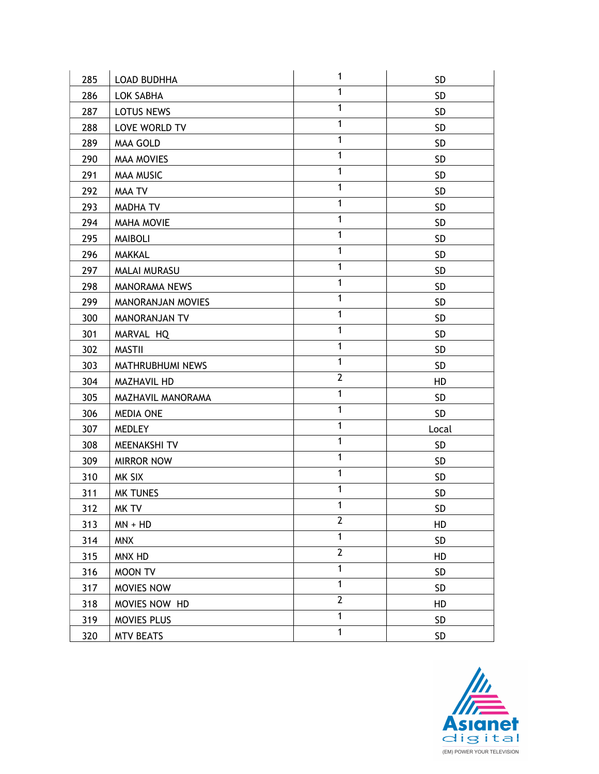| 285 | <b>LOAD BUDHHA</b>  | $\mathbf{1}$ | <b>SD</b>  |
|-----|---------------------|--------------|------------|
| 286 | LOK SABHA           | $\mathbf{1}$ | <b>SD</b>  |
| 287 | LOTUS NEWS          | $\mathbf{1}$ | <b>SD</b>  |
| 288 | LOVE WORLD TV       | 1            | <b>SD</b>  |
| 289 | MAA GOLD            | $\mathbf{1}$ | <b>SD</b>  |
| 290 | <b>MAA MOVIES</b>   | $\mathbf{1}$ | <b>SD</b>  |
| 291 | <b>MAA MUSIC</b>    | $\mathbf{1}$ | <b>SD</b>  |
| 292 | MAA TV              | $\mathbf{1}$ | <b>SD</b>  |
| 293 | <b>MADHA TV</b>     | 1            | <b>SD</b>  |
| 294 | <b>MAHA MOVIE</b>   | $\mathbf{1}$ | <b>SD</b>  |
| 295 | <b>MAIBOLI</b>      | 1            | SD         |
| 296 | <b>MAKKAL</b>       | $\mathbf{1}$ | <b>SD</b>  |
| 297 | <b>MALAI MURASU</b> | $\mathbf{1}$ | <b>SD</b>  |
| 298 | MANORAMA NEWS       | $\mathbf{1}$ | <b>SD</b>  |
| 299 | MANORANJAN MOVIES   | 1            | <b>SD</b>  |
| 300 | MANORANJAN TV       | $\mathbf{1}$ | <b>SD</b>  |
| 301 | MARVAL HQ           | $\mathbf{1}$ | <b>SD</b>  |
| 302 | <b>MASTII</b>       | $\mathbf{1}$ | <b>SD</b>  |
| 303 | MATHRUBHUMI NEWS    | $\mathbf{1}$ | <b>SD</b>  |
| 304 | MAZHAVIL HD         | $\mathbf{2}$ | HD         |
| 305 | MAZHAVIL MANORAMA   | $\mathbf{1}$ | <b>SD</b>  |
| 306 | <b>MEDIA ONE</b>    | $\mathbf{1}$ | <b>SD</b>  |
| 307 | <b>MEDLEY</b>       | 1            | Local      |
| 308 | MEENAKSHI TV        | $\mathbf{1}$ | <b>SD</b>  |
| 309 | <b>MIRROR NOW</b>   | $\mathbf{1}$ | <b>SD</b>  |
| 310 | MK SIX              | $\mathbf{1}$ | <b>SD</b>  |
| 311 | <b>MK TUNES</b>     | 1            | <b>SD</b>  |
| 312 | MK TV               | 1            | ${\sf SD}$ |
| 313 | $MN + HD$           | $\mathbf{2}$ | HD         |
| 314 | <b>MNX</b>          | $\mathbf{1}$ | <b>SD</b>  |
| 315 | MNX HD              | $\mathbf{2}$ | HD         |
| 316 | MOON TV             | $\mathbf{1}$ | <b>SD</b>  |
| 317 | MOVIES NOW          | $\mathbf{1}$ | <b>SD</b>  |
| 318 | MOVIES NOW HD       | $\mathbf{2}$ | HD         |
| 319 | MOVIES PLUS         | $\mathbf{1}$ | <b>SD</b>  |
| 320 | <b>MTV BEATS</b>    | $\mathbf{1}$ | SD         |

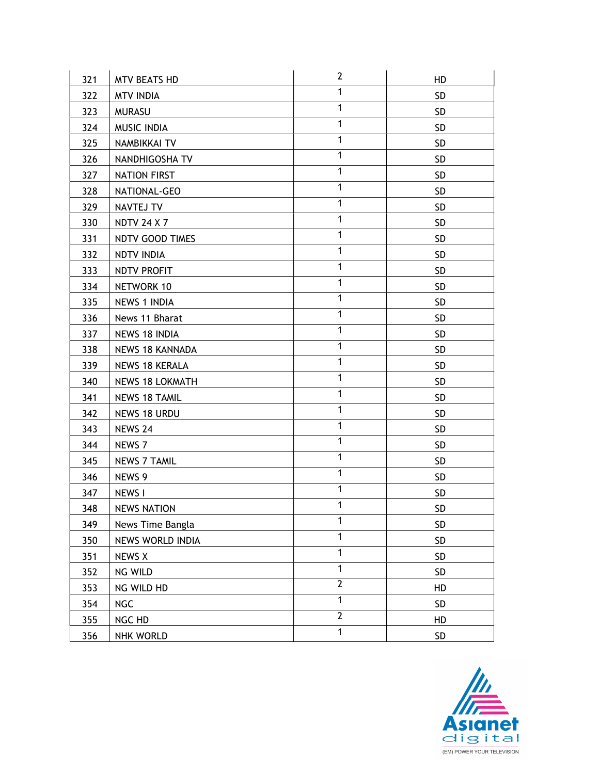|     |                        | $\mathbf{2}$   |           |
|-----|------------------------|----------------|-----------|
| 321 | <b>MTV BEATS HD</b>    |                | HD        |
| 322 | <b>MTV INDIA</b>       | $\mathbf{1}$   | SD.       |
| 323 | <b>MURASU</b>          | $\mathbf{1}$   | <b>SD</b> |
| 324 | MUSIC INDIA            | $\mathbf{1}$   | SD        |
| 325 | NAMBIKKAI TV           | 1              | <b>SD</b> |
| 326 | NANDHIGOSHA TV         | $\mathbf{1}$   | <b>SD</b> |
| 327 | <b>NATION FIRST</b>    | $\mathbf{1}$   | <b>SD</b> |
| 328 | NATIONAL-GEO           | $\mathbf{1}$   | <b>SD</b> |
| 329 | NAVTEJ TV              | $\mathbf{1}$   | SD.       |
| 330 | <b>NDTV 24 X 7</b>     | $\mathbf{1}$   | <b>SD</b> |
| 331 | NDTV GOOD TIMES        | $\mathbf{1}$   | SD        |
| 332 | NDTV INDIA             | $\mathbf{1}$   | <b>SD</b> |
| 333 | NDTV PROFIT            | $\mathbf{1}$   | SD        |
| 334 | NETWORK 10             | $\mathbf{1}$   | <b>SD</b> |
| 335 | <b>NEWS 1 INDIA</b>    | $\mathbf{1}$   | <b>SD</b> |
| 336 | News 11 Bharat         | $\mathbf{1}$   | <b>SD</b> |
| 337 | NEWS 18 INDIA          | 1              | <b>SD</b> |
| 338 | <b>NEWS 18 KANNADA</b> | $\mathbf{1}$   | SD        |
| 339 | <b>NEWS 18 KERALA</b>  | $\mathbf{1}$   | <b>SD</b> |
| 340 | <b>NEWS 18 LOKMATH</b> | $\mathbf{1}$   | <b>SD</b> |
| 341 | <b>NEWS 18 TAMIL</b>   | $\mathbf{1}$   | <b>SD</b> |
| 342 | NEWS 18 URDU           | $\mathbf{1}$   | <b>SD</b> |
| 343 | NEWS 24                | $\mathbf{1}$   | <b>SD</b> |
| 344 | NEWS 7                 | $\mathbf{1}$   | <b>SD</b> |
| 345 | <b>NEWS 7 TAMIL</b>    | $\mathbf{1}$   | SD        |
| 346 | NEWS 9                 | $\mathbf{1}$   | <b>SD</b> |
| 347 | NEWS I                 | $\mathbf{1}$   | SD        |
| 348 | <b>NEWS NATION</b>     | 1              | SD        |
| 349 | News Time Bangla       | 1              | <b>SD</b> |
| 350 | NEWS WORLD INDIA       | $\mathbf{1}$   | SD        |
| 351 | <b>NEWS X</b>          | $\mathbf{1}$   | SD        |
| 352 | NG WILD                | $\mathbf{1}$   | SD        |
| 353 | NG WILD HD             | $\overline{2}$ | HD        |
| 354 | <b>NGC</b>             | $\mathbf{1}$   | SD        |
| 355 | NGC HD                 | $\overline{2}$ | HD        |
| 356 | <b>NHK WORLD</b>       | $\overline{1}$ | SD        |

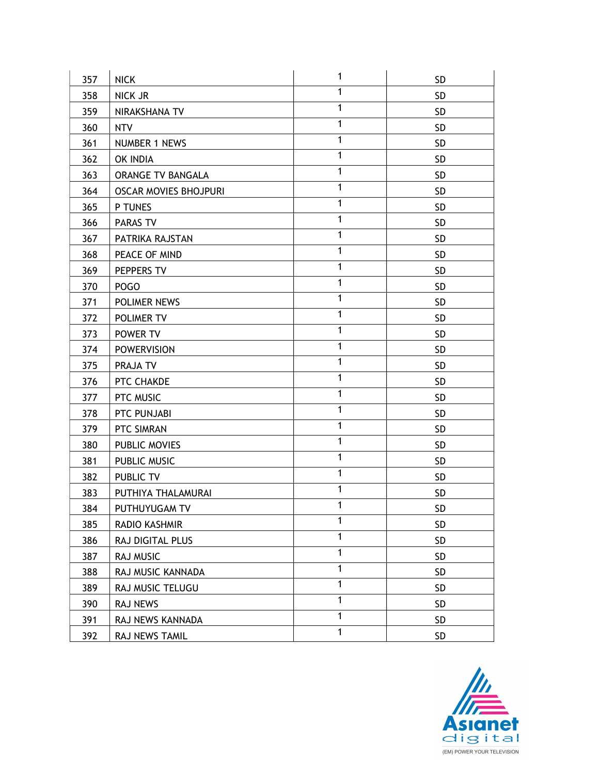| 357 | <b>NICK</b>                  | 1            | <b>SD</b>  |
|-----|------------------------------|--------------|------------|
| 358 | NICK JR                      | $\mathbf{1}$ | <b>SD</b>  |
| 359 | NIRAKSHANA TV                | $\mathbf{1}$ | <b>SD</b>  |
| 360 | <b>NTV</b>                   | 1            | <b>SD</b>  |
| 361 | <b>NUMBER 1 NEWS</b>         | $\mathbf{1}$ | <b>SD</b>  |
| 362 | OK INDIA                     | $\mathbf{1}$ | <b>SD</b>  |
| 363 | ORANGE TV BANGALA            | $\mathbf{1}$ | <b>SD</b>  |
| 364 | <b>OSCAR MOVIES BHOJPURI</b> | $\mathbf{1}$ | <b>SD</b>  |
| 365 | P TUNES                      | 1            | <b>SD</b>  |
| 366 | PARAS TV                     | $\mathbf{1}$ | <b>SD</b>  |
| 367 | PATRIKA RAJSTAN              | $\mathbf{1}$ | SD         |
| 368 | PEACE OF MIND                | $\mathbf{1}$ | <b>SD</b>  |
| 369 | PEPPERS TV                   | $\mathbf{1}$ | <b>SD</b>  |
| 370 | POGO                         | $\mathbf{1}$ | <b>SD</b>  |
| 371 | POLIMER NEWS                 | 1            | <b>SD</b>  |
| 372 | POLIMER TV                   | $\mathbf{1}$ | <b>SD</b>  |
| 373 | POWER TV                     | $\mathbf{1}$ | <b>SD</b>  |
| 374 | <b>POWERVISION</b>           | $\mathbf{1}$ | <b>SD</b>  |
| 375 | PRAJA TV                     | $\mathbf{1}$ | <b>SD</b>  |
| 376 | PTC CHAKDE                   | $\mathbf{1}$ | <b>SD</b>  |
| 377 | PTC MUSIC                    | $\mathbf{1}$ | <b>SD</b>  |
| 378 | PTC PUNJABI                  | $\mathbf{1}$ | <b>SD</b>  |
| 379 | PTC SIMRAN                   | $\mathbf{1}$ | <b>SD</b>  |
| 380 | PUBLIC MOVIES                | $\mathbf{1}$ | <b>SD</b>  |
| 381 | PUBLIC MUSIC                 | $\mathbf{1}$ | <b>SD</b>  |
| 382 | PUBLIC TV                    | $\mathbf{1}$ | <b>SD</b>  |
| 383 | PUTHIYA THALAMURAI           | 1            | <b>SD</b>  |
| 384 | PUTHUYUGAM TV                | 1            | ${\sf SD}$ |
| 385 | RADIO KASHMIR                | 1            | <b>SD</b>  |
| 386 | RAJ DIGITAL PLUS             | $\mathbf{1}$ | <b>SD</b>  |
| 387 | RAJ MUSIC                    | 1            | <b>SD</b>  |
| 388 | RAJ MUSIC KANNADA            | 1            | <b>SD</b>  |
| 389 | RAJ MUSIC TELUGU             | $\mathbf{1}$ | <b>SD</b>  |
| 390 | RAJ NEWS                     | 1            | <b>SD</b>  |
| 391 | RAJ NEWS KANNADA             | 1            | <b>SD</b>  |
| 392 | RAJ NEWS TAMIL               | $\mathbf{1}$ | <b>SD</b>  |

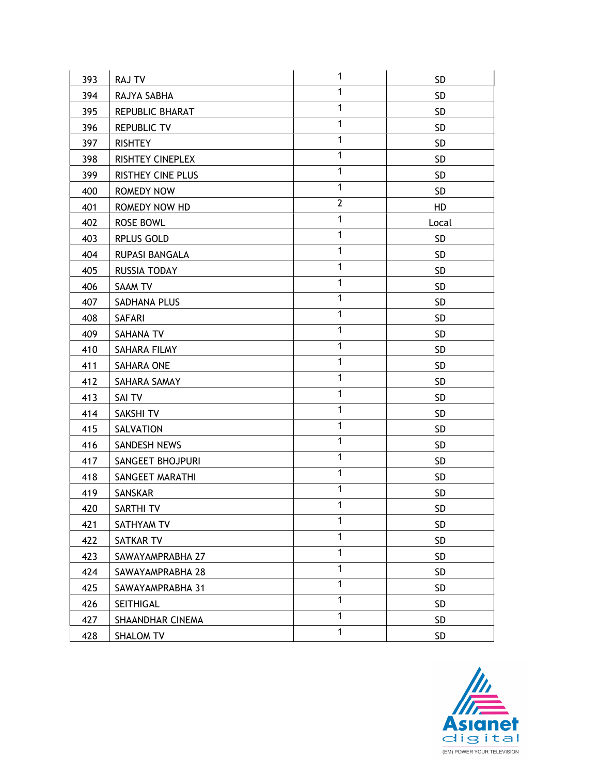| 393 | <b>RAJ TV</b>            | $\mathbf{1}$ | <b>SD</b>       |
|-----|--------------------------|--------------|-----------------|
| 394 | RAJYA SABHA              | $\mathbf{1}$ | <b>SD</b>       |
| 395 | REPUBLIC BHARAT          | $\mathbf{1}$ | SD              |
| 396 | <b>REPUBLIC TV</b>       | $\mathbf{1}$ | <b>SD</b>       |
| 397 | <b>RISHTEY</b>           | $\mathbf{1}$ | SD              |
| 398 | RISHTEY CINEPLEX         | $\mathbf{1}$ | <b>SD</b>       |
| 399 | <b>RISTHEY CINE PLUS</b> | $\mathbf{1}$ | SD              |
| 400 | ROMEDY NOW               | $\mathbf{1}$ | <b>SD</b>       |
| 401 | ROMEDY NOW HD            | $\mathbf{2}$ | HD              |
| 402 | <b>ROSE BOWL</b>         | $\mathbf{1}$ | Local           |
| 403 | <b>RPLUS GOLD</b>        | $\mathbf{1}$ | <b>SD</b>       |
| 404 | RUPASI BANGALA           | $\mathbf{1}$ | <b>SD</b>       |
| 405 | RUSSIA TODAY             | $\mathbf{1}$ | <b>SD</b>       |
| 406 | SAAM TV                  | $\mathbf{1}$ | <b>SD</b>       |
| 407 | SADHANA PLUS             | $\mathbf{1}$ | <b>SD</b>       |
| 408 | <b>SAFARI</b>            | $\mathbf{1}$ | <b>SD</b>       |
| 409 | SAHANA TV                | $\mathbf{1}$ | <b>SD</b>       |
| 410 | SAHARA FILMY             | 1            | SD              |
| 411 | SAHARA ONE               | $\mathbf{1}$ | <b>SD</b>       |
| 412 | SAHARA SAMAY             | $\mathbf{1}$ | <b>SD</b>       |
| 413 | SAI TV                   | $\mathbf{1}$ | <b>SD</b>       |
| 414 | SAKSHI TV                | $\mathbf{1}$ | <b>SD</b>       |
| 415 | SALVATION                | $\mathbf{1}$ | <b>SD</b>       |
| 416 | SANDESH NEWS             | $\mathbf{1}$ | <b>SD</b>       |
| 417 | SANGEET BHOJPURI         | $\mathbf{1}$ | <b>SD</b>       |
| 418 | SANGEET MARATHI          | $\mathbf{1}$ | <b>SD</b>       |
| 419 | SANSKAR                  | $\mathbf{1}$ | <b>SD</b>       |
| 420 | SARTHI TV                | 1            | SD              |
| 421 | SATHYAM TV               | 1            | <b>SD</b>       |
| 422 | SATKAR TV                | $\mathbf{1}$ | SD <sub>.</sub> |
| 423 | SAWAYAMPRABHA 27         | $\mathbf{1}$ | SD              |
| 424 | SAWAYAMPRABHA 28         | $\mathbf{1}$ | <b>SD</b>       |
| 425 | SAWAYAMPRABHA 31         | $\mathbf{1}$ | <b>SD</b>       |
| 426 | SEITHIGAL                | $\mathbf{1}$ | <b>SD</b>       |
| 427 | SHAANDHAR CINEMA         | $\mathbf{1}$ | <b>SD</b>       |
| 428 | <b>SHALOM TV</b>         | $\mathbf{1}$ | SD.             |

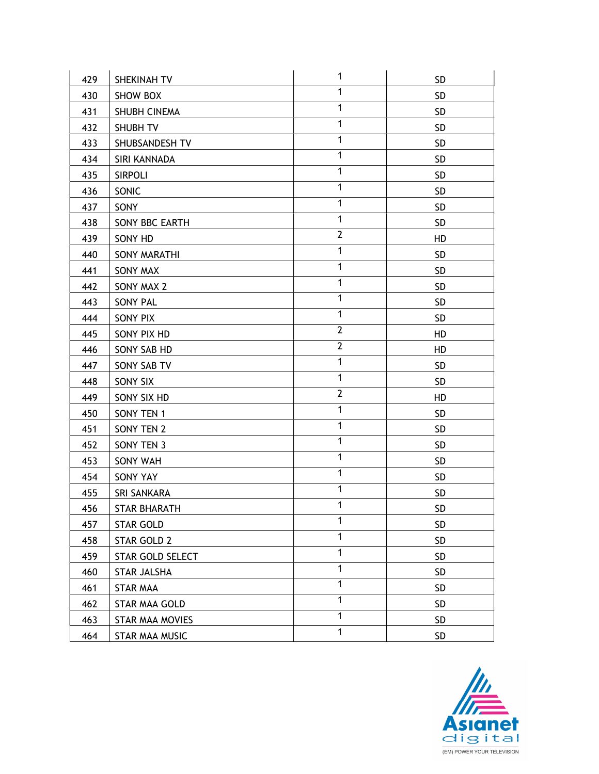| 429 | SHEKINAH TV             | 1              | <b>SD</b> |
|-----|-------------------------|----------------|-----------|
| 430 | <b>SHOW BOX</b>         | $\mathbf{1}$   | <b>SD</b> |
| 431 | SHUBH CINEMA            | $\mathbf{1}$   | <b>SD</b> |
| 432 | SHUBH TV                | $\mathbf{1}$   | SD        |
| 433 | SHUBSANDESH TV          | $\mathbf{1}$   | <b>SD</b> |
| 434 | SIRI KANNADA            | $\mathbf{1}$   | <b>SD</b> |
| 435 | <b>SIRPOLI</b>          | $\mathbf{1}$   | <b>SD</b> |
| 436 | SONIC                   | $\mathbf{1}$   | <b>SD</b> |
| 437 | SONY                    | $\mathbf{1}$   | <b>SD</b> |
| 438 | SONY BBC EARTH          | $\mathbf{1}$   | <b>SD</b> |
| 439 | SONY HD                 | $\overline{2}$ | HD        |
| 440 | SONY MARATHI            | $\mathbf{1}$   | <b>SD</b> |
| 441 | <b>SONY MAX</b>         | $\mathbf{1}$   | SD        |
| 442 | SONY MAX 2              | $\mathbf{1}$   | <b>SD</b> |
| 443 | <b>SONY PAL</b>         | $\mathbf{1}$   | <b>SD</b> |
| 444 | SONY PIX                | $\mathbf{1}$   | SD        |
| 445 | SONY PIX HD             | $\mathbf{2}$   | HD        |
| 446 | SONY SAB HD             | $\overline{2}$ | HD        |
| 447 | SONY SAB TV             | $\mathbf{1}$   | SD        |
| 448 | SONY SIX                | $\mathbf{1}$   | <b>SD</b> |
| 449 | SONY SIX HD             | $\overline{2}$ | HD        |
| 450 | SONY TEN 1              | $\mathbf{1}$   | <b>SD</b> |
| 451 | SONY TEN 2              | $\mathbf{1}$   | <b>SD</b> |
| 452 | SONY TEN 3              | $\mathbf{1}$   | <b>SD</b> |
| 453 | SONY WAH                | $\mathbf{1}$   | SD        |
| 454 | SONY YAY                | $\mathbf{1}$   | <b>SD</b> |
| 455 | <b>SRI SANKARA</b>      | $\mathbf{1}$   | SD        |
| 456 | <b>STAR BHARATH</b>     | 1              | SD        |
| 457 | <b>STAR GOLD</b>        | 1              | <b>SD</b> |
| 458 | STAR GOLD 2             | $\mathbf{1}$   | SD        |
| 459 | <b>STAR GOLD SELECT</b> | $\mathbf{1}$   | SD        |
| 460 | STAR JALSHA             | $\mathbf{1}$   | SD        |
| 461 | <b>STAR MAA</b>         | $\mathbf{1}$   | <b>SD</b> |
| 462 | STAR MAA GOLD           | 1              | <b>SD</b> |
| 463 | STAR MAA MOVIES         | 1              | <b>SD</b> |
| 464 | STAR MAA MUSIC          | $\mathbf{1}$   | <b>SD</b> |

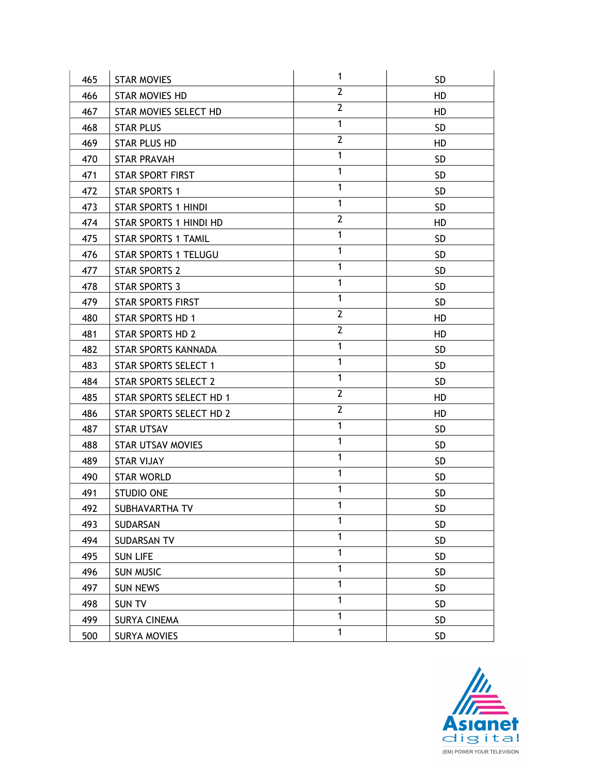| 465 | <b>STAR MOVIES</b>          | 1              | SD.             |
|-----|-----------------------------|----------------|-----------------|
| 466 | STAR MOVIES HD              | $\overline{2}$ | HD              |
| 467 | STAR MOVIES SELECT HD       | $\overline{2}$ | HD              |
| 468 | <b>STAR PLUS</b>            | $\mathbf{1}$   | <b>SD</b>       |
| 469 | <b>STAR PLUS HD</b>         | $\overline{2}$ | HD              |
| 470 | <b>STAR PRAVAH</b>          | $\mathbf{1}$   | SD.             |
| 471 | <b>STAR SPORT FIRST</b>     | $\mathbf{1}$   | <b>SD</b>       |
| 472 | <b>STAR SPORTS 1</b>        | $\mathbf{1}$   | <b>SD</b>       |
| 473 | <b>STAR SPORTS 1 HINDI</b>  | $\mathbf{1}$   | SD.             |
| 474 | STAR SPORTS 1 HINDI HD      | $\overline{2}$ | HD              |
| 475 | <b>STAR SPORTS 1 TAMIL</b>  | $\mathbf{1}$   | <b>SD</b>       |
| 476 | <b>STAR SPORTS 1 TELUGU</b> | $\mathbf{1}$   | <b>SD</b>       |
| 477 | <b>STAR SPORTS 2</b>        | $\mathbf{1}$   | <b>SD</b>       |
| 478 | STAR SPORTS 3               | $\mathbf{1}$   | <b>SD</b>       |
| 479 | <b>STAR SPORTS FIRST</b>    | $\mathbf{1}$   | <b>SD</b>       |
| 480 | <b>STAR SPORTS HD 1</b>     | $\overline{2}$ | HD              |
| 481 | <b>STAR SPORTS HD 2</b>     | $\overline{2}$ | HD              |
| 482 | STAR SPORTS KANNADA         | $\mathbf{1}$   | <b>SD</b>       |
| 483 | <b>STAR SPORTS SELECT 1</b> | $\mathbf{1}$   | SD.             |
| 484 | <b>STAR SPORTS SELECT 2</b> | $\mathbf{1}$   | <b>SD</b>       |
| 485 | STAR SPORTS SELECT HD 1     | $\overline{2}$ | HD              |
| 486 | STAR SPORTS SELECT HD 2     | $\overline{2}$ | HD              |
| 487 | <b>STAR UTSAV</b>           | $\mathbf{1}$   | <b>SD</b>       |
| 488 | <b>STAR UTSAV MOVIES</b>    | $\mathbf{1}$   | <b>SD</b>       |
| 489 | <b>STAR VIJAY</b>           | $\mathbf{1}$   | <b>SD</b>       |
| 490 | <b>STAR WORLD</b>           | $\mathbf{1}$   | <b>SD</b>       |
| 491 | <b>STUDIO ONE</b>           | $\mathbf{1}$   | <b>SD</b>       |
| 492 | SUBHAVARTHA TV              | 1              | SD              |
| 493 | SUDARSAN                    | $\mathbf{1}$   | <b>SD</b>       |
| 494 | SUDARSAN TV                 | $\mathbf{1}$   | SD <sub>.</sub> |
| 495 | <b>SUN LIFE</b>             | $\mathbf{1}$   | SD              |
| 496 | <b>SUN MUSIC</b>            | $\mathbf{1}$   | SD              |
| 497 | <b>SUN NEWS</b>             | $\mathbf{1}$   | <b>SD</b>       |
| 498 | SUN TV                      | $\mathbf{1}$   | SD              |
| 499 | <b>SURYA CINEMA</b>         | $\mathbf{1}$   | <b>SD</b>       |
| 500 | <b>SURYA MOVIES</b>         | $\mathbf{1}$   | <b>SD</b>       |

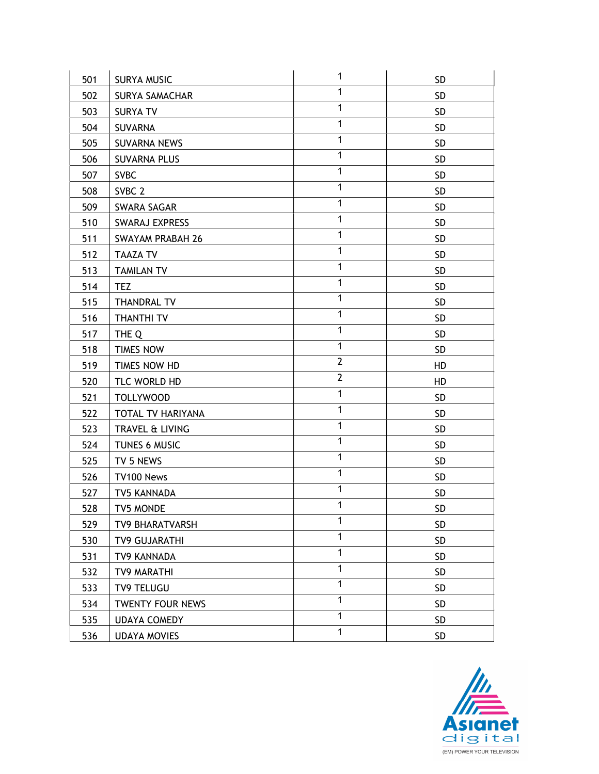| 501 | <b>SURYA MUSIC</b>      | $\mathbf{1}$   | <b>SD</b> |
|-----|-------------------------|----------------|-----------|
| 502 | <b>SURYA SAMACHAR</b>   | $\mathbf{1}$   | <b>SD</b> |
| 503 | <b>SURYA TV</b>         | $\mathbf{1}$   | <b>SD</b> |
| 504 | SUVARNA                 | $\mathbf{1}$   | SD        |
| 505 | SUVARNA NEWS            | $\mathbf{1}$   | <b>SD</b> |
| 506 | <b>SUVARNA PLUS</b>     | $\mathbf{1}$   | <b>SD</b> |
| 507 | <b>SVBC</b>             | $\mathbf{1}$   | <b>SD</b> |
| 508 | SVBC <sub>2</sub>       | $\mathbf{1}$   | <b>SD</b> |
| 509 | SWARA SAGAR             | $\mathbf{1}$   | SD.       |
| 510 | <b>SWARAJ EXPRESS</b>   | $\mathbf{1}$   | <b>SD</b> |
| 511 | <b>SWAYAM PRABAH 26</b> | $\mathbf{1}$   | SD        |
| 512 | <b>TAAZA TV</b>         | $\mathbf{1}$   | <b>SD</b> |
| 513 | <b>TAMILAN TV</b>       | $\mathbf{1}$   | <b>SD</b> |
| 514 | <b>TEZ</b>              | $\mathbf{1}$   | <b>SD</b> |
| 515 | <b>THANDRAL TV</b>      | $\mathbf{1}$   | <b>SD</b> |
| 516 | <b>THANTHI TV</b>       | $\mathbf{1}$   | SD        |
| 517 | THE Q                   | $\mathbf{1}$   | <b>SD</b> |
| 518 | TIMES NOW               | $\mathbf{1}$   | SD        |
| 519 | TIMES NOW HD            | $\mathbf{2}$   | HD        |
| 520 | TLC WORLD HD            | $\overline{2}$ | HD        |
| 521 | <b>TOLLYWOOD</b>        | $\mathbf{1}$   | <b>SD</b> |
| 522 | TOTAL TV HARIYANA       | $\mathbf{1}$   | <b>SD</b> |
| 523 | TRAVEL & LIVING         | $\mathbf{1}$   | <b>SD</b> |
| 524 | TUNES 6 MUSIC           | $\mathbf{1}$   | <b>SD</b> |
| 525 | TV 5 NEWS               | $\mathbf{1}$   | SD        |
| 526 | TV100 News              | $\mathbf{1}$   | <b>SD</b> |
| 527 | TV5 KANNADA             | $\mathbf{1}$   | <b>SD</b> |
| 528 | TV5 MONDE               | 1              | SD        |
| 529 | <b>TV9 BHARATVARSH</b>  | 1              | <b>SD</b> |
| 530 | <b>TV9 GUJARATHI</b>    | $\mathbf{1}$   | SD        |
| 531 | TV9 KANNADA             | $\mathbf{1}$   | SD        |
| 532 | TV9 MARATHI             | $\mathbf{1}$   | SD        |
| 533 | TV9 TELUGU              | $\mathbf{1}$   | <b>SD</b> |
| 534 | <b>TWENTY FOUR NEWS</b> | 1              | <b>SD</b> |
| 535 | <b>UDAYA COMEDY</b>     | 1              | SD        |
| 536 | <b>UDAYA MOVIES</b>     | $\mathbf{1}$   | <b>SD</b> |

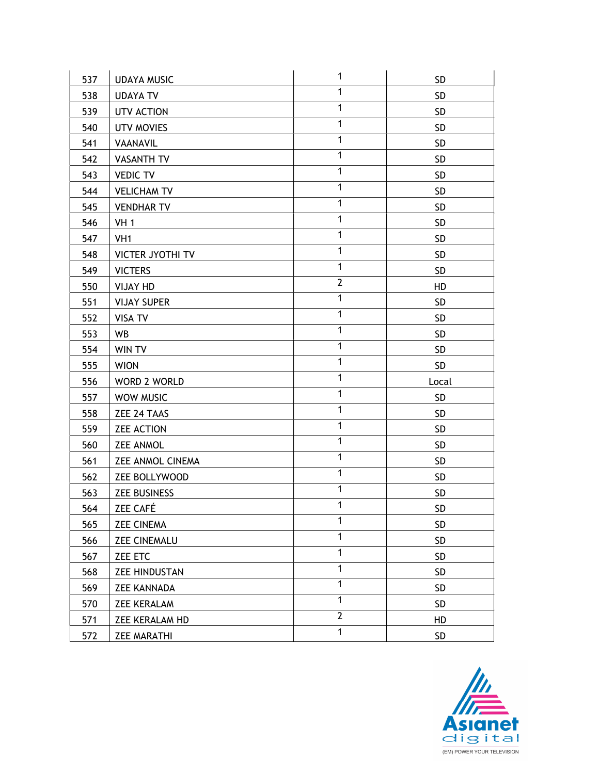| 537 | <b>UDAYA MUSIC</b>      | 1              | <b>SD</b> |
|-----|-------------------------|----------------|-----------|
| 538 | <b>UDAYA TV</b>         | $\mathbf{1}$   | <b>SD</b> |
| 539 | UTV ACTION              | $\mathbf{1}$   | <b>SD</b> |
| 540 | <b>UTV MOVIES</b>       | $\mathbf{1}$   | SD        |
| 541 | VAANAVIL                | $\mathbf{1}$   | <b>SD</b> |
| 542 | <b>VASANTH TV</b>       | $\mathbf{1}$   | <b>SD</b> |
| 543 | <b>VEDIC TV</b>         | $\mathbf{1}$   | SD        |
| 544 | <b>VELICHAM TV</b>      | $\mathbf{1}$   | SD        |
| 545 | <b>VENDHAR TV</b>       | $\mathbf{1}$   | <b>SD</b> |
| 546 | <b>VH 1</b>             | $\mathbf{1}$   | SD        |
| 547 | VH <sub>1</sub>         | $\mathbf{1}$   | SD        |
| 548 | <b>VICTER JYOTHI TV</b> | $\mathbf{1}$   | <b>SD</b> |
| 549 | <b>VICTERS</b>          | $\mathbf{1}$   | <b>SD</b> |
| 550 | <b>VIJAY HD</b>         | $\overline{2}$ | HD        |
| 551 | <b>VIJAY SUPER</b>      | $\mathbf{1}$   | <b>SD</b> |
| 552 | <b>VISA TV</b>          | $\mathbf{1}$   | SD        |
| 553 | WB                      | $\mathbf{1}$   | <b>SD</b> |
| 554 | WIN TV                  | $\mathbf{1}$   | SD        |
| 555 | <b>WION</b>             | $\mathbf{1}$   | <b>SD</b> |
| 556 | WORD 2 WORLD            | $\mathbf{1}$   | Local     |
| 557 | WOW MUSIC               | $\mathbf{1}$   | SD        |
| 558 | ZEE 24 TAAS             | $\mathbf{1}$   | SD        |
| 559 | <b>ZEE ACTION</b>       | $\mathbf{1}$   | <b>SD</b> |
| 560 | <b>ZEE ANMOL</b>        | $\mathbf{1}$   | SD        |
| 561 | <b>ZEE ANMOL CINEMA</b> | $\mathbf{1}$   | SD        |
| 562 | ZEE BOLLYWOOD           | $\mathbf{1}$   | <b>SD</b> |
| 563 | <b>ZEE BUSINESS</b>     | $\mathbf{1}$   | <b>SD</b> |
| 564 | ZEE CAFÉ                | 1              | SD        |
| 565 | <b>ZEE CINEMA</b>       | $\mathbf{1}$   | <b>SD</b> |
| 566 | <b>ZEE CINEMALU</b>     | $\mathbf{1}$   | SD        |
| 567 | ZEE ETC                 | $\mathbf{1}$   | SD        |
| 568 | <b>ZEE HINDUSTAN</b>    | $\mathbf{1}$   | SD        |
| 569 | <b>ZEE KANNADA</b>      | $\mathbf{1}$   | SD        |
| 570 | <b>ZEE KERALAM</b>      | $\mathbf{1}$   | <b>SD</b> |
| 571 | ZEE KERALAM HD          | $\overline{2}$ | HD        |
| 572 |                         | $\mathbf{1}$   | SD        |

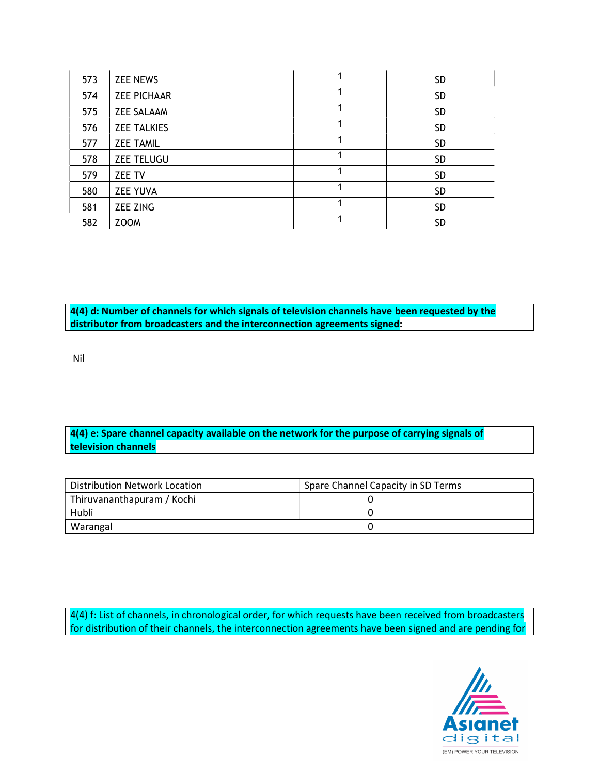| 573 | <b>ZEE NEWS</b>    | <b>SD</b> |
|-----|--------------------|-----------|
| 574 | <b>ZEE PICHAAR</b> | <b>SD</b> |
| 575 | <b>ZEE SALAAM</b>  | <b>SD</b> |
| 576 | <b>ZEE TALKIES</b> | <b>SD</b> |
| 577 | <b>ZEE TAMIL</b>   | <b>SD</b> |
| 578 | <b>ZEE TELUGU</b>  | <b>SD</b> |
| 579 | <b>ZEE TV</b>      | <b>SD</b> |
| 580 | <b>ZEE YUVA</b>    | <b>SD</b> |
| 581 | <b>ZEE ZING</b>    | <b>SD</b> |
| 582 | <b>ZOOM</b>        | <b>SD</b> |

4(4) d: Number of channels for which signals of television channels have been requested by the distributor from broadcasters and the interconnection agreements signed: ٦

Nil

## 4(4) e: Spare channel capacity available on the network for the purpose of carrying signals of television channels

| Distribution Network Location | Spare Channel Capacity in SD Terms |
|-------------------------------|------------------------------------|
| Thiruvananthapuram / Kochi    |                                    |
| Hubli                         |                                    |
| Warangal                      |                                    |

4(4) f: List of channels, in chronological order, for which requests have been received from broadcasters for distribution of their channels, the interconnection agreements have been signed and are pending for